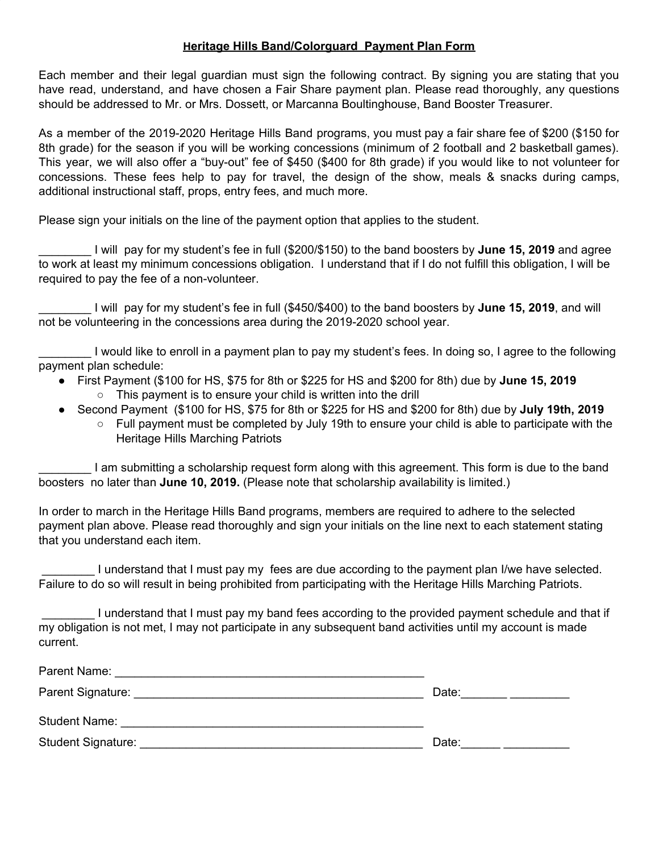## **Heritage Hills Band/Colorguard Payment Plan Form**

Each member and their legal guardian must sign the following contract. By signing you are stating that you have read, understand, and have chosen a Fair Share payment plan. Please read thoroughly, any questions should be addressed to Mr. or Mrs. Dossett, or Marcanna Boultinghouse, Band Booster Treasurer.

As a member of the 2019-2020 Heritage Hills Band programs, you must pay a fair share fee of \$200 (\$150 for 8th grade) for the season if you will be working concessions (minimum of 2 football and 2 basketball games). This year, we will also offer a "buy-out" fee of \$450 (\$400 for 8th grade) if you would like to not volunteer for concessions. These fees help to pay for travel, the design of the show, meals & snacks during camps, additional instructional staff, props, entry fees, and much more.

Please sign your initials on the line of the payment option that applies to the student.

\_\_\_\_\_\_\_\_ I will pay for my student's fee in full (\$200/\$150) to the band boosters by **June 15, 2019** and agree to work at least my minimum concessions obligation. I understand that if I do not fulfill this obligation, I will be required to pay the fee of a non-volunteer.

\_\_\_\_\_\_\_\_ I will pay for my student's fee in full (\$450/\$400) to the band boosters by **June 15, 2019**, and will not be volunteering in the concessions area during the 2019-2020 school year.

\_\_\_\_\_\_\_\_ I would like to enroll in a payment plan to pay my student's fees. In doing so, I agree to the following payment plan schedule:

- First Payment (\$100 for HS, \$75 for 8th or \$225 for HS and \$200 for 8th) due by **June 15, 2019**
	- This payment is to ensure your child is written into the drill
- Second Payment (\$100 for HS, \$75 for 8th or \$225 for HS and \$200 for 8th) due by **July 19th, 2019**
	- **○** Full payment must be completed by July 19th to ensure your child is able to participate with the Heritage Hills Marching Patriots

\_\_\_\_\_\_\_\_ I am submitting a scholarship request form along with this agreement. This form is due to the band boosters no later than **June 10, 2019.** (Please note that scholarship availability is limited.)

In order to march in the Heritage Hills Band programs, members are required to adhere to the selected payment plan above. Please read thoroughly and sign your initials on the line next to each statement stating that you understand each item.

I understand that I must pay my fees are due according to the payment plan I/we have selected. Failure to do so will result in being prohibited from participating with the Heritage Hills Marching Patriots.

\_\_\_\_\_\_\_\_ I understand that I must pay my band fees according to the provided payment schedule and that if my obligation is not met, I may not participate in any subsequent band activities until my account is made current.

| Parent Name:<br><u> 1980 - Jan James James James James James James James James James James James James James James James James J</u> |       |
|--------------------------------------------------------------------------------------------------------------------------------------|-------|
| Parent Signature:                                                                                                                    | Date: |
| <b>Student Name:</b>                                                                                                                 |       |
| Student Signature:                                                                                                                   | Date: |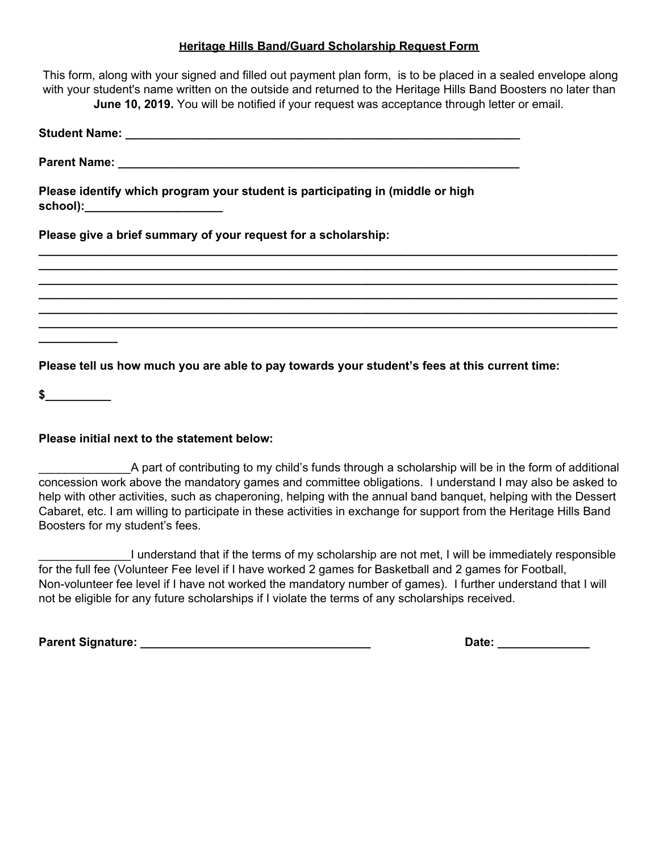## **Heritage Hills Band/Guard Scholarship Request Form**

| This form, along with your signed and filled out payment plan form, is to be placed in a sealed envelope along<br>with your student's name written on the outside and returned to the Heritage Hills Band Boosters no later than<br>June 10, 2019. You will be notified if your request was acceptance through letter or email. |
|---------------------------------------------------------------------------------------------------------------------------------------------------------------------------------------------------------------------------------------------------------------------------------------------------------------------------------|
|                                                                                                                                                                                                                                                                                                                                 |
|                                                                                                                                                                                                                                                                                                                                 |
| Please identify which program your student is participating in (middle or high<br>school):_______________________                                                                                                                                                                                                               |
| Please give a brief summary of your request for a scholarship:                                                                                                                                                                                                                                                                  |
|                                                                                                                                                                                                                                                                                                                                 |
| <u> 1999 - 1999 - 1999 - 1999 - 1999 - 1999 - 1999 - 1999 - 1999 - 1999 - 1999 - 1999 - 1999 - 1999 - 1999 - 19</u>                                                                                                                                                                                                             |
|                                                                                                                                                                                                                                                                                                                                 |
| Please tell us how much you are able to pay towards your student's fees at this current time:                                                                                                                                                                                                                                   |
| \$                                                                                                                                                                                                                                                                                                                              |

## **Please initial next to the statement below:**

\_\_\_\_\_\_\_\_\_\_\_\_\_\_A part of contributing to my child's funds through a scholarship will be in the form of additional concession work above the mandatory games and committee obligations. I understand I may also be asked to help with other activities, such as chaperoning, helping with the annual band banquet, helping with the Dessert Cabaret, etc. I am willing to participate in these activities in exchange for support from the Heritage Hills Band Boosters for my student's fees.

\_\_\_\_\_\_\_\_\_\_\_\_\_\_I understand that if the terms of my scholarship are not met, I will be immediately responsible for the full fee (Volunteer Fee level if I have worked 2 games for Basketball and 2 games for Football, Non-volunteer fee level if I have not worked the mandatory number of games). I further understand that I will not be eligible for any future scholarships if I violate the terms of any scholarships received.

**Parent Signature: \_\_\_\_\_\_\_\_\_\_\_\_\_\_\_\_\_\_\_\_\_\_\_\_\_\_\_\_\_\_\_\_\_\_\_ Date: \_\_\_\_\_\_\_\_\_\_\_\_\_\_**